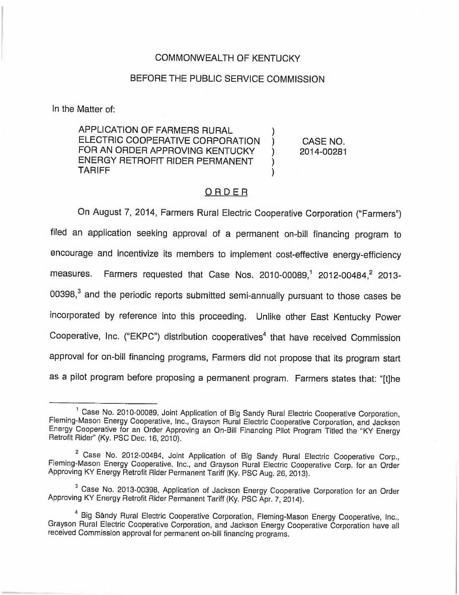## COMMONWEALTH OF KENTUCKY

# BEFORE THE PUBLIC SERVICE COMMISSION

In the Matter of:

APPLICATION OF FARMERS RURAL ELECTRIC COOPERATIVE CORPORATION FOR AN ORDER APPROVING KENTUCKY ENERGY RETROFIT RIDER PERMANENT TARIFF

) CASE NO. ) 2014-00281

)

) )

# ORDER

On August 7, 2014, Farmers Rural Electric Cooperative Corporation ("Farmers") filed an application seeking approval of a permanent on-bill financing program to encourage and incentivize its members to implement cost-effective energy-efficiency measures. Farmers requested that Case Nos. 2010-00089,<sup>1</sup> 2012-00484,<sup>2</sup> 2013- $00398<sup>3</sup>$  and the periodic reports submitted semi-annually pursuant to those cases be incorporated by reference into this proceeding. Unlike other East Kentucky Power Cooperative, Inc. ("EKPC") distribution cooperatives<sup>4</sup> that have received Commission approval for on-bill financing programs, Farmers did not propose that its program start as a pilot program before proposing a permanent program. Farmers states that: "[t]he

<sup>&</sup>lt;sup>1</sup> Case No. 2010-00089, Joint Application of Big Sandy Rural Electric Cooperative Corporation, Fleming-Mason Energy Cooperative, Inc., Grayson Rural Electric Cooperative Corporation, and Jackson Energy Cooperative for an Order Approving an On-Bill Financing Pilot Program Titled the "KY Energy Retrofit Rider" (Ky. PSC Dec. 16, 2010).

<sup>&</sup>lt;sup>2</sup> Case No. 2012-00484, Joint Application of Big Sandy Rural Electric Cooperative Corp., Fleming-Mason Energy Cooperative, Inc., and Grayson Rural Electric Cooperative Corp. for an Order Approving KY Energy Retrofit Rider Permanent Tariff (Ky. PSC Aug. 26, 2013).

<sup>&</sup>lt;sup>3</sup> Case No. 2013-00398, Application of Jackson Energy Cooperative Corporation for an Order Approving KY Energy Retrofit Rider Permanent Tariff (Ky. PSC Apr. 7, 2014).

Big Sandy Rural Electric Cooperative Corporation, Fleming-Mason Energy Cooperative, Inc., Grayson Rural Electric Cooperative Corporation, and Jackson Energy Cooperative Corporation have all received Commission approval for permanent on-bill financing programs.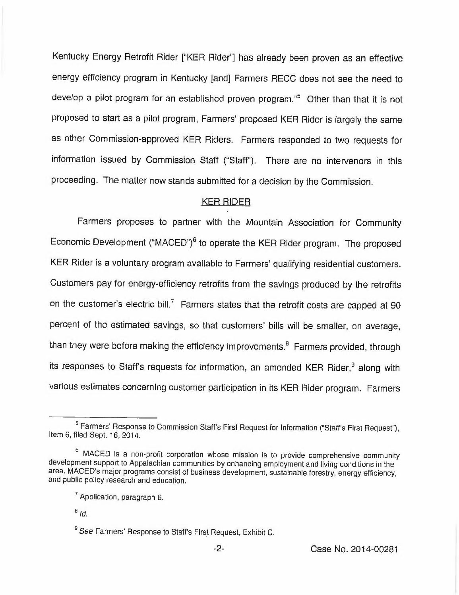Kentucky Energy Retrofit Rider ["KER Rider"] has already been proven as an effective energy efficiency program in Kentucky [and] Farmers RECC does not see the need to develop a pilot program for an established proven program."<sup>5</sup> Other than that it is not proposed to start as a pilot program, Farmers' proposed KER Rider is largely the same as other Commission-approved KER Riders. Farmers responded to two requests for information issued by Commission Staff ("Staff"). There are no intervenors in this proceeding. The matter now stands submitted for a decision by the Commission.

# KER RIDER

Farmers proposes to partner with the Mountain Association for Community Economic Development ("MACED")<sup>6</sup> to operate the KER Rider program. The proposed KER Rider is a voluntary program available to Farmers' qualifying residential customers. Customers pay for energy-efficiency retrofits from the savings produced by the retrofits on the customer's electric bill.<sup>7</sup> Farmers states that the retrofit costs are capped at 90 percent of the estimated savings, so that customers' bills will be smaller, on average, than they were before making the efficiency improvements.<sup>8</sup> Farmers provided, through its responses to Staff's requests for information, an amended KER Rider,<sup>9</sup> along with various estimates concerning customer participation in its KER Rider program. Farmers

<sup>&</sup>lt;sup>5</sup> Farmers' Response to Commission Staff's First Request for Information ("Staff's First Request"), Item 6, filed Sept. 16, 2014.

<sup>&</sup>lt;sup>6</sup> MACED is a non-profit corporation whose mission is to provide comprehensive community development support to Appalachian communities by enhancing employment and living conditions in the area. MACED's major programs consist of business development, sustainable forestry, energy efficiency, and public policy research and education.

<sup>&</sup>lt;sup>7</sup> Application, paragraph 6.

 $B/d$ .

<sup>&</sup>lt;sup>9</sup> See Farmers' Response to Staff's First Request, Exhibit C.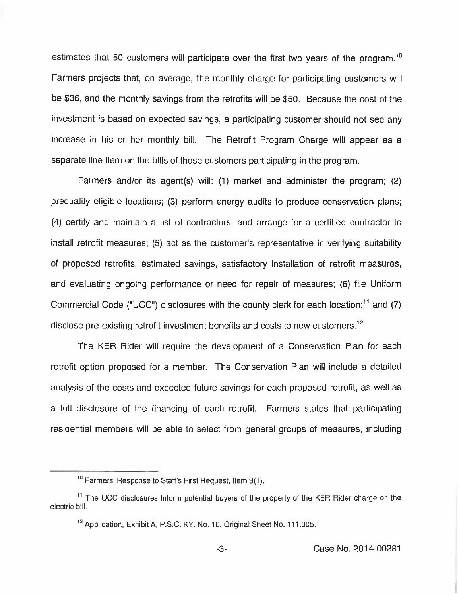estimates that 50 customers will participate over the first two years of the program.<sup>10</sup> Farmers projects that, on average, the monthly charge for participating customers will be \$36, and the monthly savings from the retrofits will be \$50. Because the cost of the investment is based on expected savings, a participating customer should not see any increase in his or her monthly bill. The Retrofit Program Charge will appear as a separate line item on the bills of those customers participating in the program.

Farmers and/or its agent(s) will: (1) market and administer the program; (2) prequalify eligible locations; (3) perform energy audits to produce conservation plans; (4) certify and maintain a list of contractors, and arrange for a certified contractor to install retrofit measures; (5) act as the customer's representative in verifying suitability of proposed retrofits, estimated savings, satisfactory installation of retrofit measures, and evaluating ongoing performance or need for repair of measures; (6) file Uniform Commercial Code ("UCC") disclosures with the county clerk for each location;<sup>11</sup> and (7) disclose pre-existing retrofit investment benefits and costs to new customers.<sup>12</sup>

The KER Rider will require the development of a Conservation Plan for each retrofit option proposed for a member. The Conservation Plan will include a detailed analysis of the costs and expected future savings for each proposed retrofit, as well as a full disclosure of the financing of each retrofit. Farmers states that participating residential members will be able to select from general groups of measures, including

<sup>&</sup>lt;u>meta</u><br><sup>10</sup> Farmers' Response to Staff's First Request, Item 9(1).

<sup>&</sup>lt;sup>11</sup> The UCC disclosures inform potential buyers of the property of the KER Rider charge on the electric bill,

<sup>&</sup>lt;sup>12</sup> Application, Exhibit A, P.S.C. KY. No. 10, Original Sheet No. 111,005.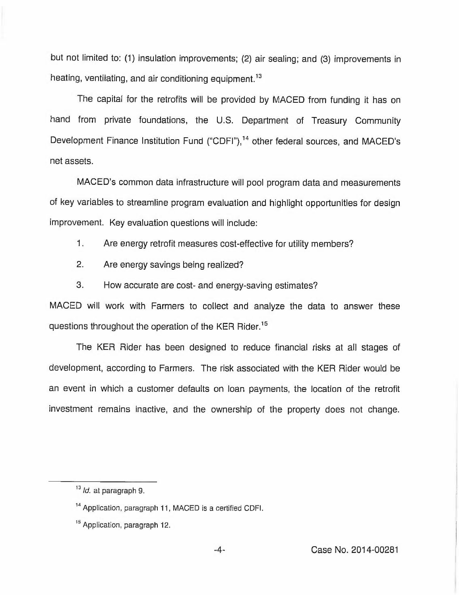but not limited to: (1) insulation improvements; (2) air sealing; and (3) improvements in heating, ventilating, and air conditioning equipment.<sup>13</sup>

The capital for the retrofits will be provided by MACED from funding it has on hand from private foundations, the U.S. Department of Treasury Community Development Finance Institution Fund ("CDFI"),<sup>14</sup> other federal sources, and MACED's net assets.

MACED's common data infrastructure will pool program data and measurements of key variables to streamline program evaluation and highlight opportunities for design improvement. Key evaluation questions will include:

1. Are energy retrofit measures cost-effective for utility members?

- 2. Are energy savings being realized?
- 3. How accurate are cost- and energy-saving estimates?

MACED will work with Farmers to collect and analyze the data to answer these questions throughout the operation of the KER Rider.<sup>15</sup>

The KER Rider has been designed to reduce financial risks at all stages of development, according to Farmers. The risk associated with the KER Rider would be an event in which a customer defaults on loan payments, the location of the retrofit investment remains inactive, and the ownership of the property does not change.

 $13$  *ld.* at paragraph 9.

<sup>&</sup>lt;sup>14</sup> Application, paragraph 11, MACED is a certified CDFI.

<sup>&</sup>lt;sup>15</sup> Application, paragraph 12.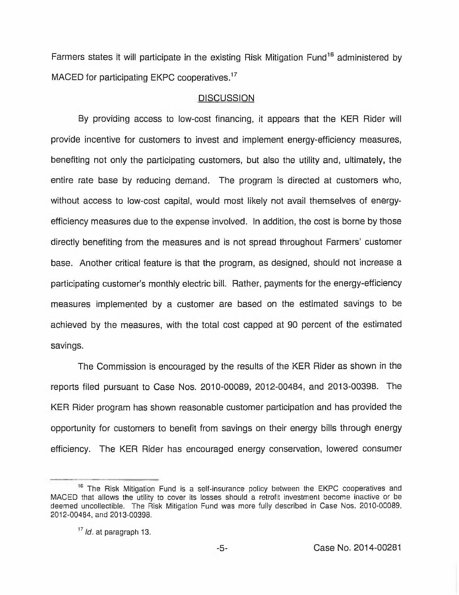Farmers states it will participate in the existing Risk Mitigation Fund<sup>16</sup> administered by MACED for participating EKPC cooperatives.<sup>17</sup>

#### **DISCUSSION**

By providing access to low-cost financing, it appears that the KER Rider will provide incentive for customers to invest and implement energy-efficiency measures, benefiting not only the participating customers, but also the utility and, ultimately, the entire rate base by reducing demand. The program is directed at customers who, without access to low-cost capital, would most likely not avail themselves of energyefficiency measures due to the expense involved. In addition, the cost is borne by those directly benefiting from the measures and is not spread throughout Farmers' customer base. Another critical feature is that the program, as designed, should not increase a participating customer's monthly electric bill. Rather, payments for the energy-efficiency measures implemented by a customer are based on the estimated savings to be achieved by the measures, with the total cost capped at 90 percent of the estimated savings.

The Commission is encouraged by the results of the KER Rider as shown in the reports filed pursuant to Case Nos. 2010-00089, 2012-00484, and 2013-00398. The KER Rider program has shown reasonable customer participation and has provided the opportunity for customers to benefit from savings on their energy bills through energy efficiency. The KER Rider has encouraged energy conservation, lowered consumer

The Risk Mitigation Fund is a self-insurance policy between the EKPC cooperatives and MACED that allows the utility to cover its losses should a retrofit investment become inactive or be deemed uncollectible. The Risk Mitigation Fund was more fully described in Case Nos. 2010-00089, 2012-00484, and 2013-00398.

 $17$  *ld*, at paragraph 13.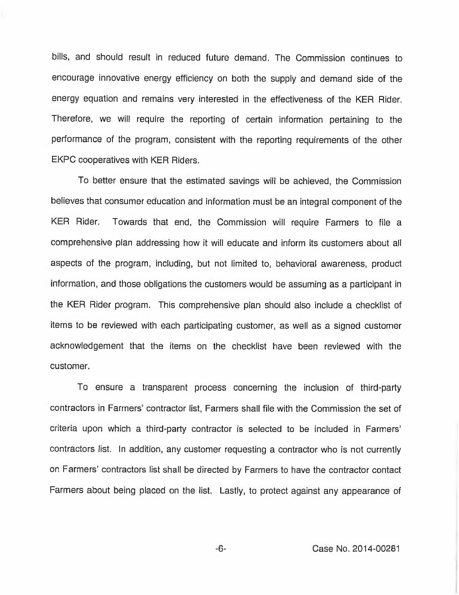bills, and should result in reduced future demand. The Commission continues to encourage innovative energy efficiency on both the supply and demand side of the energy equation and remains very interested in the effectiveness of the KER Rider. Therefore, we will require the reporting of certain information pertaining to the performance of the program, consistent with the reporting requirements of the other EKPC cooperatives with KER Riders.

To better ensure that the estimated savings will be achieved, the Commission believes that consumer education and information must be an integral component of the KER Rider. Towards that end, the Commission will require Farmers to file a comprehensive plan addressing how it will educate and inform its customers about all aspects of the program, including, but not limited to, behavioral awareness, product information, and those obligations the customers would be assuming as a participant in the KER Rider program. This comprehensive plan should also include a checklist of items to be reviewed with each participating customer, as well as a signed customer acknowledgement that the items on the checklist have been reviewed with the customer.

To ensure a transparent process concerning the inclusion of third-party contractors in Farmers' contractor list, Farmers shall file with the Commission the set of criteria upon which a third-party contractor is selected to be included in contractors list. In addition, any customer requesting a contractor who is not currently on Farmers' contractors list shall be directed by Farmers to have the contractor contact Farmers about being placed on the list. Lastly, to protect against any appearance of

-6- Case No. 2014-00281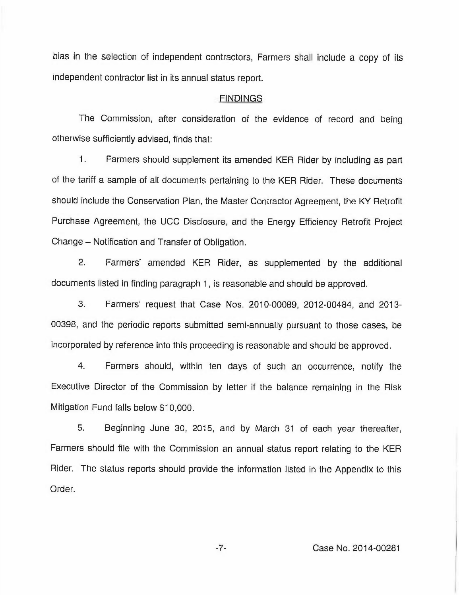bias in the selection of independent contractors, Farmers shall include a copy of its independent contractor list in its annual status report.

## **FINDINGS**

The Commission, after consideration of the evidence of record and being otherwise sufficiently advised, finds that:

1. Farmers should supplement its amended KER Rider by including as part of the tariff a sample of all documents pertaining to the KER Rider. These documents should include the Conservation Plan, the Master Contractor Agreement, the KY Retrofit Purchase Agreement, the UCC Disclosure, and the Energy Efficiency Retrofit Project Change —Notification and Transfer of Obligation.

2. Farmers' amended KER Rider, as supplemented by the additional documents listed in finding paragraph 1, is reasonable and should be approved.

3. Farmers'equest that Case Nos. 2010-00089, 2012-00484, and 2013- 00398, and the periodic reports submitted semi-annually pursuant to those cases, be incorporated by reference into this proceeding is reasonable and should be approved.

4. Farmers should, within ten days of such an occurrence, notify the Executive Director of the Commission by letter if the balance remaining in the Risk Mitigation Fund falls below \$10,000.

5. Beginning June 30, 2015, and by March 31 of each year thereafter, Farmers should file with the Commission an annual status report relating to the KER Rider. The status reports should provide the information listed in the Appendix to this Order.

-7- Case No. 2014-00281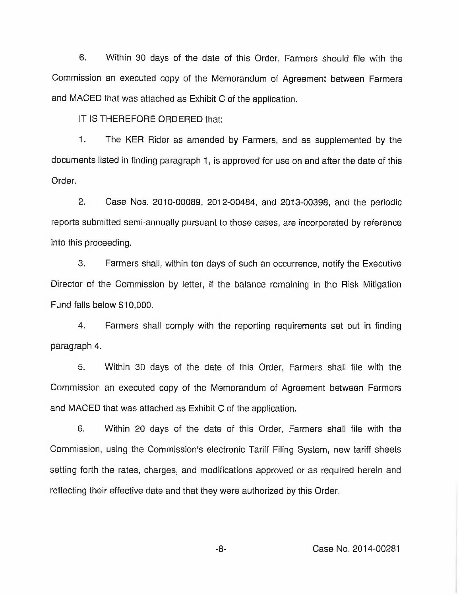6. Within 30 days of the date of this Order, Farmers should file with the Commission an executed copy of the Memorandum of Agreement between Farmers and MACED that was attached as Exhibit C of the application.

IT IS THEREFORE ORDERED that:

1. The KER Rider as amended by Farmers, and as supplemented by the documents listed in finding paragraph 1, is approved for use on and after the date of this Order.

2. Case Nos. 2010-00089, 2012-00484, and 2013-00398, and the periodic reports submitted semi-annually pursuant to those cases, are incorporated by reference into this proceeding.

3. Farmers shall, within ten days of such an occurrence, notify the Executive Director of the Commission by letter, if the balance remaining in the Risk Mitigation Fund falls below \$10,000.

4. Farmers shall comply with the reporting requirements set out in finding paragraph 4.

5. Within 30 days of the date of this Order, Farmers shall file with the Commission an executed copy of the Memorandum of Agreement between Farmers and MACED that was attached as Exhibit C of the application.

6. Within 20 days of the date of this Order, Farmers shall file with the Commission, using the Commission's electronic Tariff Filing System, new tariff sheets setting forth the rates, charges, and modifications approved or as required herein and reflecting their effective date and that they were authorized by this Order.

 $-8-$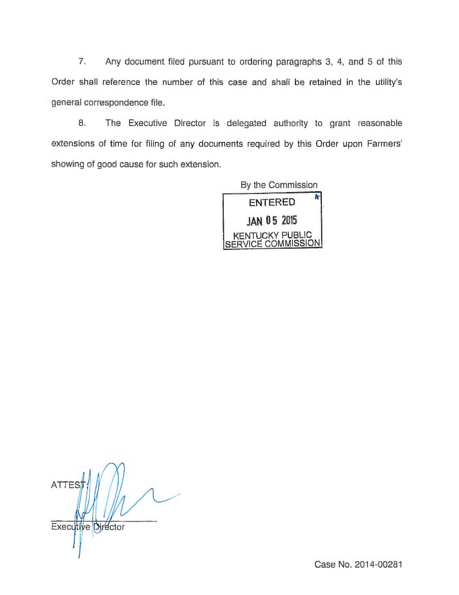7, Any document filed pursuant to ordering paragraphs 3, 4, and 5 of this Order shall reference the number of this case and shall be retained in the utility's general correspondence file.

8. The Executive Director is delegated authority to grant reasonable extensions of time for filing of any documents required by this Order upon Farmers' showing of good cause for such extension.



**ATTES Executive Director**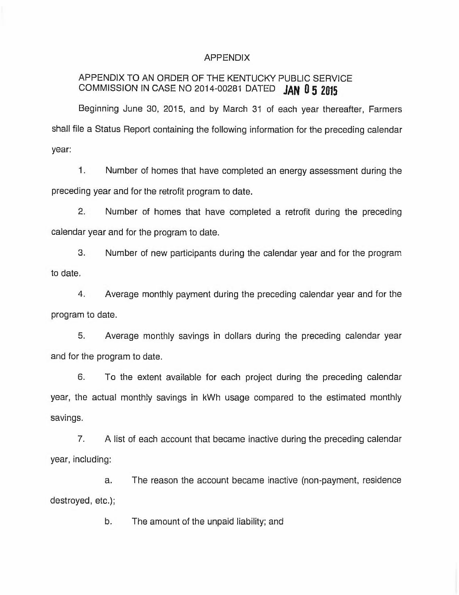## APPENDIX

# APPENDIX TO AN ORDER OF THE KENTUCKY PUBLIC SERVICE COMMISSION IN CASE NO 2014-00281 DATED JAN 0 5 2015

Beginning June 30, 2015, and by March 31 of each year thereafter, Farmers shall file a Status Report containing the following information for the preceding calendar year:

1. Number of homes that have completed an energy assessment during the preceding year and for the retrofit program to date.

2. Number of homes that have completed a retrofit during the preceding calendar year and for the program to date.

3. Number of new participants during the calendar year and for the program to date.

4. Average monthly payment during the preceding calendar year and for the program to date.

5. Average monthly savings in dollars during the preceding calendar year and for the program to date.

6. To the extent available for each project during the preceding calendar year, the actual monthly savings in kWh usage compared to the estimated monthly savings.

7. A list of each account that became inactive during the preceding calendar year, including:

The reason the account became inactive (non-payment, residence a. destroyed, etc.);

b. The amount of the unpaid liability; and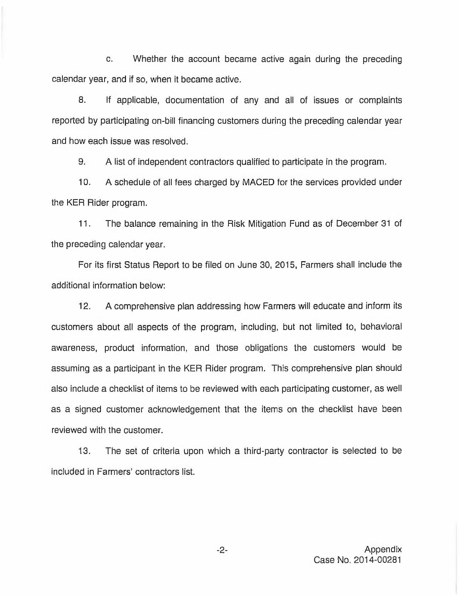c. Whether the account became active again during the preceding calendar year, and if so, when it became active.

8. If applicable, documentation of any and all of issues or complaints reported by participating on-bill financing customers during the preceding calendar year and how each issue was resolved.

9. A list of independent contractors qualified to participate in the program.

10. A schedule of all fees charged by MACED for the services provided under the KER Rider program.

11. The balance remaining in the Risk Mitigation Fund as of December 31 of the preceding calendar year.

For its first Status Report to be filed on June 30, 2015, Farmers shall include the additional information below:

12. A comprehensive plan addressing how Farmers will educate and inform its customers about all aspects of the program, including, but not limited to, behavioral awareness, product information, and those obligations the customers would be assuming as a participant in the KER Rider program. This comprehensive plan should also include a checklist of items to be reviewed with each participating customer, as well as a signed customer acknowledgement that the items on the checklist have been reviewed with the customer.

13. The set of criteria upon which a third-party contractor is selected to be included in Farmers' contractors list.

 $-2-$